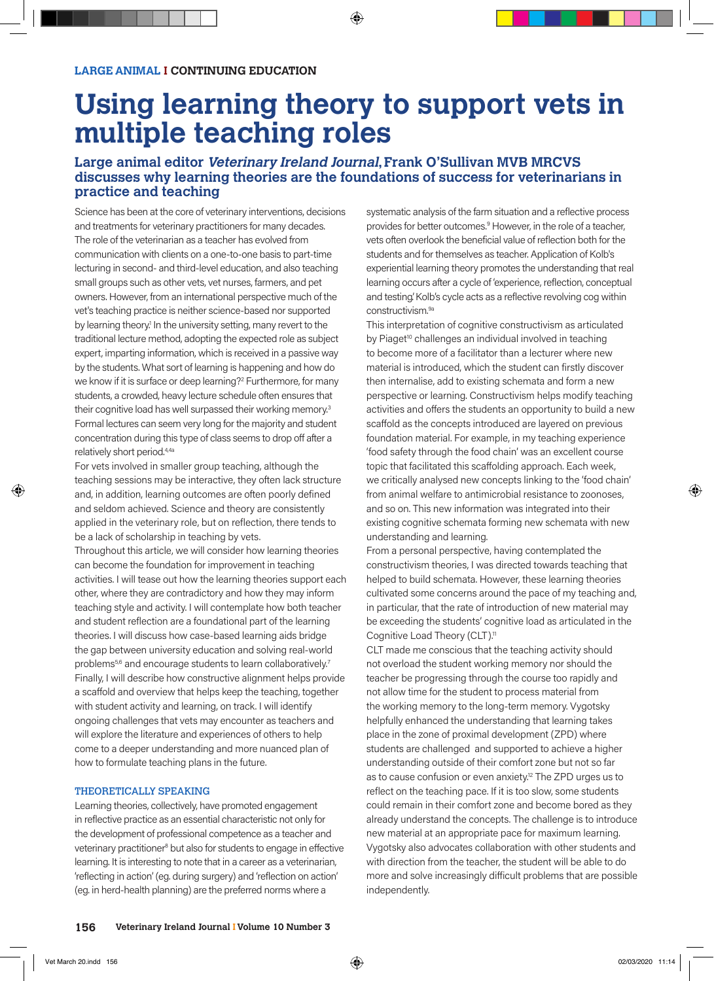# **Using learning theory to support vets in multiple teaching roles**

# **Large animal editor Veterinary Ireland Journal, Frank O'Sullivan MVB MRCVS discusses why learning theories are the foundations of success for veterinarians in practice and teaching**

Science has been at the core of veterinary interventions, decisions and treatments for veterinary practitioners for many decades. The role of the veterinarian as a teacher has evolved from communication with clients on a one-to-one basis to part-time lecturing in second- and third-level education, and also teaching small groups such as other vets, vet nurses, farmers, and pet owners. However, from an international perspective much of the vet's teaching practice is neither science-based nor supported by learning theory! In the university setting, many revert to the traditional lecture method, adopting the expected role as subject expert, imparting information, which is received in a passive way by the students. What sort of learning is happening and how do we know if it is surface or deep learning?<sup>2</sup> Furthermore, for many students, a crowded, heavy lecture schedule often ensures that their cognitive load has well surpassed their working memory.3 Formal lectures can seem very long for the majority and student concentration during this type of class seems to drop off after a relatively short period.4,4a

For vets involved in smaller group teaching, although the teaching sessions may be interactive, they often lack structure and, in addition, learning outcomes are often poorly defined and seldom achieved. Science and theory are consistently applied in the veterinary role, but on reflection, there tends to be a lack of scholarship in teaching by vets.

Throughout this article, we will consider how learning theories can become the foundation for improvement in teaching activities. I will tease out how the learning theories support each other, where they are contradictory and how they may inform teaching style and activity. I will contemplate how both teacher and student reflection are a foundational part of the learning theories. I will discuss how case-based learning aids bridge the gap between university education and solving real-world problems<sup>5,6</sup> and encourage students to learn collaboratively.<sup>7</sup> Finally, I will describe how constructive alignment helps provide a scaffold and overview that helps keep the teaching, together with student activity and learning, on track. I will identify ongoing challenges that vets may encounter as teachers and will explore the literature and experiences of others to help come to a deeper understanding and more nuanced plan of how to formulate teaching plans in the future.

# THEORETICALLY SPEAKING

Learning theories, collectively, have promoted engagement in reflective practice as an essential characteristic not only for the development of professional competence as a teacher and veterinary practitioner<sup>8</sup> but also for students to engage in effective learning. It is interesting to note that in a career as a veterinarian, 'reflecting in action' (eg. during surgery) and 'reflection on action' (eg. in herd-health planning) are the preferred norms where a

systematic analysis of the farm situation and a reflective process provides for better outcomes.9 However, in the role of a teacher, vets often overlook the beneficial value of reflection both for the students and for themselves as teacher. Application of Kolb's experiential learning theory promotes the understanding that real learning occurs after a cycle of 'experience, reflection, conceptual and testing' Kolb's cycle acts as a reflective revolving cog within constructivism.9a

This interpretation of cognitive constructivism as articulated by Piaget<sup>10</sup> challenges an individual involved in teaching to become more of a facilitator than a lecturer where new material is introduced, which the student can firstly discover then internalise, add to existing schemata and form a new perspective or learning. Constructivism helps modify teaching activities and offers the students an opportunity to build a new scaffold as the concepts introduced are layered on previous foundation material. For example, in my teaching experience 'food safety through the food chain' was an excellent course topic that facilitated this scaffolding approach. Each week, we critically analysed new concepts linking to the 'food chain' from animal welfare to antimicrobial resistance to zoonoses, and so on. This new information was integrated into their existing cognitive schemata forming new schemata with new understanding and learning.

From a personal perspective, having contemplated the constructivism theories, I was directed towards teaching that helped to build schemata. However, these learning theories cultivated some concerns around the pace of my teaching and, in particular, that the rate of introduction of new material may be exceeding the students' cognitive load as articulated in the Cognitive Load Theory (CLT).<sup>11</sup>

CLT made me conscious that the teaching activity should not overload the student working memory nor should the teacher be progressing through the course too rapidly and not allow time for the student to process material from the working memory to the long-term memory. Vygotsky helpfully enhanced the understanding that learning takes place in the zone of proximal development (ZPD) where students are challenged and supported to achieve a higher understanding outside of their comfort zone but not so far as to cause confusion or even anxiety.12 The ZPD urges us to reflect on the teaching pace. If it is too slow, some students could remain in their comfort zone and become bored as they already understand the concepts. The challenge is to introduce new material at an appropriate pace for maximum learning. Vygotsky also advocates collaboration with other students and with direction from the teacher, the student will be able to do more and solve increasingly difficult problems that are possible independently.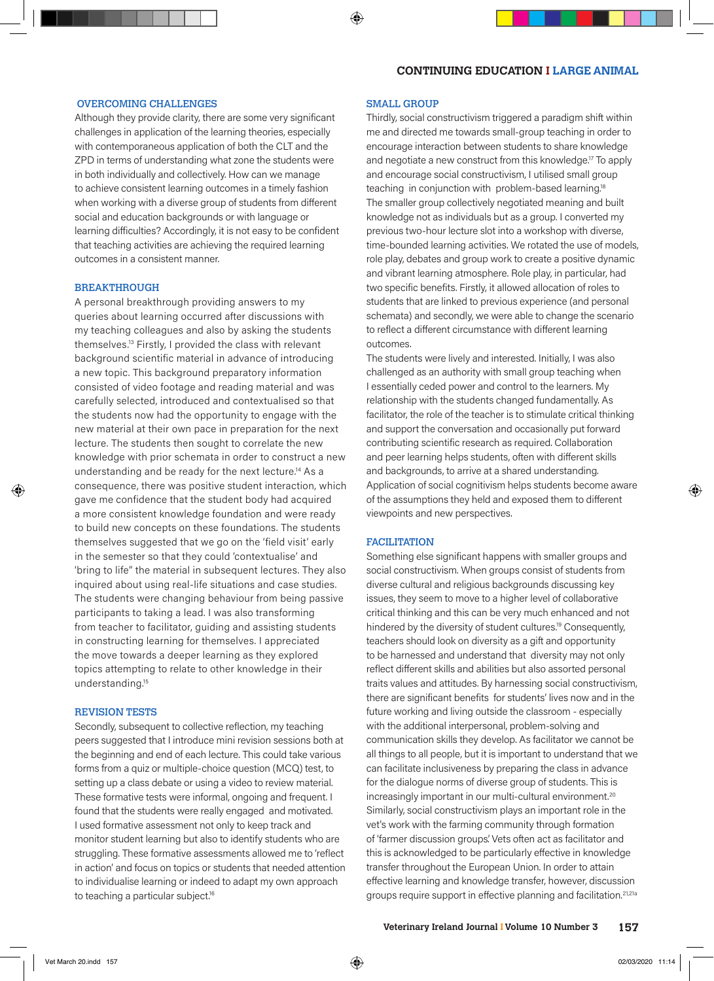#### OVERCOMING CHALLENGES

Although they provide clarity, there are some very significant challenges in application of the learning theories, especially with contemporaneous application of both the CLT and the ZPD in terms of understanding what zone the students were in both individually and collectively. How can we manage to achieve consistent learning outcomes in a timely fashion when working with a diverse group of students from different social and education backgrounds or with language or learning difficulties? Accordingly, it is not easy to be confident that teaching activities are achieving the required learning outcomes in a consistent manner.

# **BREAKTHROUGH**

A personal breakthrough providing answers to my queries about learning occurred after discussions with my teaching colleagues and also by asking the students themselves.13 Firstly, I provided the class with relevant background scientific material in advance of introducing a new topic. This background preparatory information consisted of video footage and reading material and was carefully selected, introduced and contextualised so that the students now had the opportunity to engage with the new material at their own pace in preparation for the next lecture. The students then sought to correlate the new knowledge with prior schemata in order to construct a new understanding and be ready for the next lecture.<sup>14</sup> As a consequence, there was positive student interaction, which gave me confidence that the student body had acquired a more consistent knowledge foundation and were ready to build new concepts on these foundations. The students themselves suggested that we go on the 'field visit' early in the semester so that they could 'contextualise' and 'bring to life" the material in subsequent lectures. They also inquired about using real-life situations and case studies. The students were changing behaviour from being passive participants to taking a lead. I was also transforming from teacher to facilitator, guiding and assisting students in constructing learning for themselves. I appreciated the move towards a deeper learning as they explored topics attempting to relate to other knowledge in their understanding.15

# REVISION TESTS

Secondly, subsequent to collective reflection, my teaching peers suggested that I introduce mini revision sessions both at the beginning and end of each lecture. This could take various forms from a quiz or multiple-choice question (MCQ) test, to setting up a class debate or using a video to review material. These formative tests were informal, ongoing and frequent. I found that the students were really engaged and motivated. I used formative assessment not only to keep track and monitor student learning but also to identify students who are struggling. These formative assessments allowed me to 'reflect in action' and focus on topics or students that needed attention to individualise learning or indeed to adapt my own approach to teaching a particular subject.<sup>16</sup>

#### SMALL GROUP

Thirdly, social constructivism triggered a paradigm shift within me and directed me towards small-group teaching in order to encourage interaction between students to share knowledge and negotiate a new construct from this knowledge.17 To apply and encourage social constructivism, I utilised small group teaching in conjunction with problem-based learning.18 The smaller group collectively negotiated meaning and built knowledge not as individuals but as a group. I converted my previous two-hour lecture slot into a workshop with diverse, time-bounded learning activities. We rotated the use of models, role play, debates and group work to create a positive dynamic and vibrant learning atmosphere. Role play, in particular, had two specific benefits. Firstly, it allowed allocation of roles to students that are linked to previous experience (and personal schemata) and secondly, we were able to change the scenario to reflect a different circumstance with different learning outcomes.

The students were lively and interested. Initially, I was also challenged as an authority with small group teaching when I essentially ceded power and control to the learners. My relationship with the students changed fundamentally. As facilitator, the role of the teacher is to stimulate critical thinking and support the conversation and occasionally put forward contributing scientific research as required. Collaboration and peer learning helps students, often with different skills and backgrounds, to arrive at a shared understanding. Application of social cognitivism helps students become aware of the assumptions they held and exposed them to different viewpoints and new perspectives.

#### **FACILITATION**

Something else significant happens with smaller groups and social constructivism. When groups consist of students from diverse cultural and religious backgrounds discussing key issues, they seem to move to a higher level of collaborative critical thinking and this can be very much enhanced and not hindered by the diversity of student cultures.<sup>19</sup> Consequently, teachers should look on diversity as a gift and opportunity to be harnessed and understand that diversity may not only reflect different skills and abilities but also assorted personal traits values and attitudes. By harnessing social constructivism, there are significant benefits for students' lives now and in the future working and living outside the classroom - especially with the additional interpersonal, problem-solving and communication skills they develop. As facilitator we cannot be all things to all people, but it is important to understand that we can facilitate inclusiveness by preparing the class in advance for the dialogue norms of diverse group of students. This is increasingly important in our multi-cultural environment.<sup>20</sup> Similarly, social constructivism plays an important role in the vet's work with the farming community through formation of 'farmer discussion groups'. Vets often act as facilitator and this is acknowledged to be particularly effective in knowledge transfer throughout the European Union. In order to attain effective learning and knowledge transfer, however, discussion groups require support in effective planning and facilitation.<sup>21,21a</sup>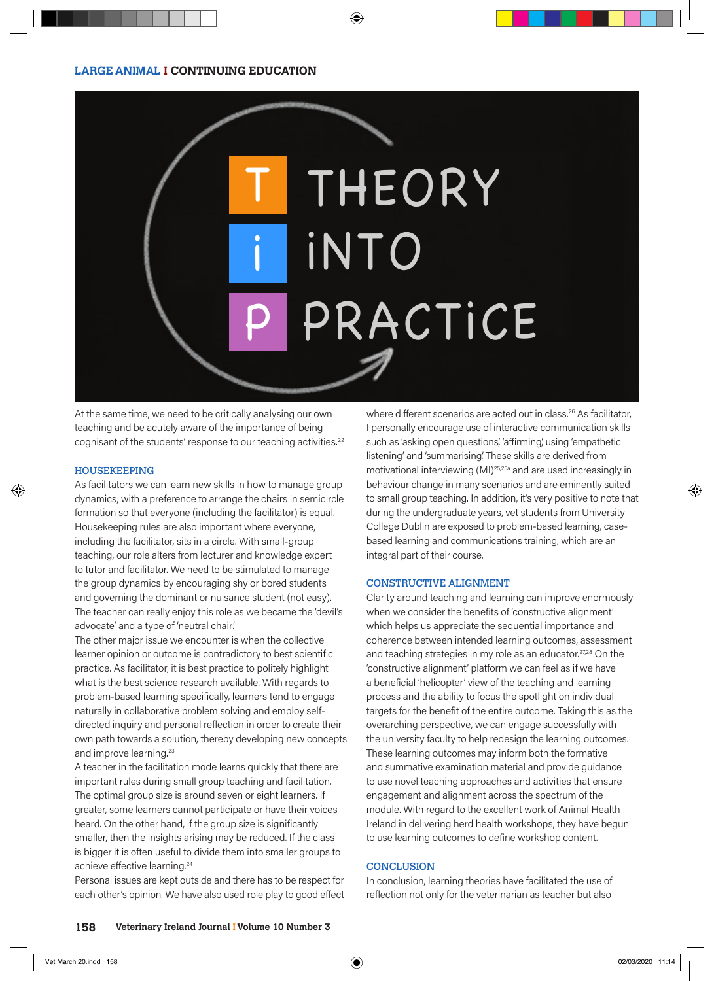

At the same time, we need to be critically analysing our own teaching and be acutely aware of the importance of being cognisant of the students' response to our teaching activities.<sup>22</sup>

# **HOUSEKEEPING**

As facilitators we can learn new skills in how to manage group dynamics, with a preference to arrange the chairs in semicircle formation so that everyone (including the facilitator) is equal. Housekeeping rules are also important where everyone, including the facilitator, sits in a circle. With small-group teaching, our role alters from lecturer and knowledge expert to tutor and facilitator. We need to be stimulated to manage the group dynamics by encouraging shy or bored students and governing the dominant or nuisance student (not easy). The teacher can really enjoy this role as we became the 'devil's advocate' and a type of 'neutral chair'.

The other major issue we encounter is when the collective learner opinion or outcome is contradictory to best scientific practice. As facilitator, it is best practice to politely highlight what is the best science research available. With regards to problem-based learning specifically, learners tend to engage naturally in collaborative problem solving and employ selfdirected inquiry and personal reflection in order to create their own path towards a solution, thereby developing new concepts and improve learning.<sup>23</sup>

A teacher in the facilitation mode learns quickly that there are important rules during small group teaching and facilitation. The optimal group size is around seven or eight learners. If greater, some learners cannot participate or have their voices heard. On the other hand, if the group size is significantly smaller, then the insights arising may be reduced. If the class is bigger it is often useful to divide them into smaller groups to achieve effective learning.<sup>24</sup>

Personal issues are kept outside and there has to be respect for each other's opinion. We have also used role play to good effect

where different scenarios are acted out in class.<sup>26</sup> As facilitator, I personally encourage use of interactive communication skills such as 'asking open questions', 'affirming', using 'empathetic listening' and 'summarising'. These skills are derived from motivational interviewing (MI)25,25a and are used increasingly in behaviour change in many scenarios and are eminently suited to small group teaching. In addition, it's very positive to note that during the undergraduate years, vet students from University College Dublin are exposed to problem-based learning, casebased learning and communications training, which are an integral part of their course.

## CONSTRUCTIVE ALIGNMENT

Clarity around teaching and learning can improve enormously when we consider the benefits of 'constructive alignment' which helps us appreciate the sequential importance and coherence between intended learning outcomes, assessment and teaching strategies in my role as an educator.<sup>27,28</sup> On the 'constructive alignment' platform we can feel as if we have a beneficial 'helicopter' view of the teaching and learning process and the ability to focus the spotlight on individual targets for the benefit of the entire outcome. Taking this as the overarching perspective, we can engage successfully with the university faculty to help redesign the learning outcomes. These learning outcomes may inform both the formative and summative examination material and provide guidance to use novel teaching approaches and activities that ensure engagement and alignment across the spectrum of the module. With regard to the excellent work of Animal Health Ireland in delivering herd health workshops, they have begun to use learning outcomes to define workshop content.

## **CONCLUSION**

In conclusion, learning theories have facilitated the use of reflection not only for the veterinarian as teacher but also